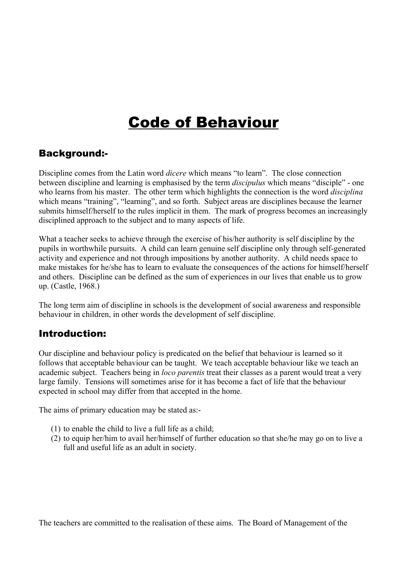# Code of Behaviour

### Background:-

Discipline comes from the Latin word *dicere* which means "to learn". The close connection between discipline and learning is emphasised by the term *discipulus* which means "disciple" - one who learns from his master. The other term which highlights the connection is the word *disciplina* which means "training", "learning", and so forth. Subject areas are disciplines because the learner submits himself/herself to the rules implicit in them. The mark of progress becomes an increasingly disciplined approach to the subject and to many aspects of life.

What a teacher seeks to achieve through the exercise of his/her authority is self discipline by the pupils in worthwhile pursuits. A child can learn genuine self discipline only through self-generated activity and experience and not through impositions by another authority. A child needs space to make mistakes for he/she has to learn to evaluate the consequences of the actions for himself/herself and others. Discipline can be defined as the sum of experiences in our lives that enable us to grow up. (Castle, 1968.)

The long term aim of discipline in schools is the development of social awareness and responsible behaviour in children, in other words the development of self discipline.

# Introduction:

Our discipline and behaviour policy is predicated on the belief that behaviour is learned so it follows that acceptable behaviour can be taught. We teach acceptable behaviour like we teach an academic subject. Teachers being in *loco parentis* treat their classes as a parent would treat a very large family. Tensions will sometimes arise for it has become a fact of life that the behaviour expected in school may differ from that accepted in the home.

The aims of primary education may be stated as:

- (1) to enable the child to live a full life as a child;
- (2) to equip her/him to avail her/himself of further education so that she/he may go on to live a full and useful life as an adult in society.

The teachers are committed to the realisation of these aims. The Board of Management of the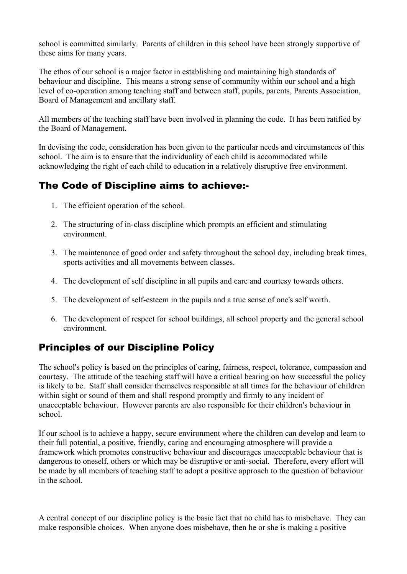school is committed similarly. Parents of children in this school have been strongly supportive of these aims for many years.

The ethos of our school is a major factor in establishing and maintaining high standards of behaviour and discipline. This means a strong sense of community within our school and a high level of co-operation among teaching staff and between staff, pupils, parents, Parents Association, Board of Management and ancillary staff.

All members of the teaching staff have been involved in planning the code. It has been ratified by the Board of Management.

In devising the code, consideration has been given to the particular needs and circumstances of this school. The aim is to ensure that the individuality of each child is accommodated while acknowledging the right of each child to education in a relatively disruptive free environment.

# The Code of Discipline aims to achieve:-

- 1. The efficient operation of the school.
- 2. The structuring of in-class discipline which prompts an efficient and stimulating environment.
- 3. The maintenance of good order and safety throughout the school day, including break times, sports activities and all movements between classes.
- 4. The development of self discipline in all pupils and care and courtesy towards others.
- 5. The development of self-esteem in the pupils and a true sense of one's self worth.
- 6. The development of respect for school buildings, all school property and the general school environment.

# Principles of our Discipline Policy

The school's policy is based on the principles of caring, fairness, respect, tolerance, compassion and courtesy. The attitude of the teaching staff will have a critical bearing on how successful the policy is likely to be. Staff shall consider themselves responsible at all times for the behaviour of children within sight or sound of them and shall respond promptly and firmly to any incident of unacceptable behaviour. However parents are also responsible for their children's behaviour in school.

If our school is to achieve a happy, secure environment where the children can develop and learn to their full potential, a positive, friendly, caring and encouraging atmosphere will provide a framework which promotes constructive behaviour and discourages unacceptable behaviour that is dangerous to oneself, others or which may be disruptive or anti-social. Therefore, every effort will be made by all members of teaching staff to adopt a positive approach to the question of behaviour in the school.

A central concept of our discipline policy is the basic fact that no child has to misbehave. They can make responsible choices. When anyone does misbehave, then he or she is making a positive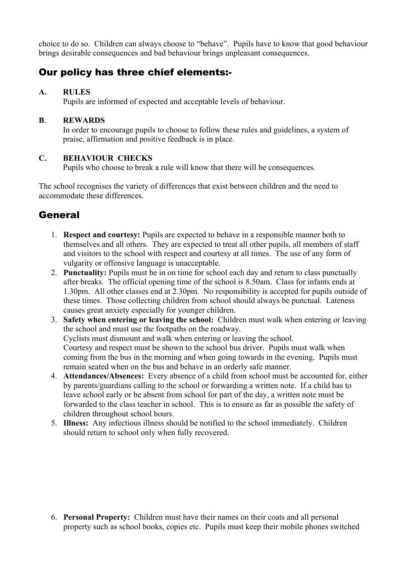choice to do so. Children can always choose to "behave". Pupils have to know that good behaviour brings desirable consequences and bad behaviour brings unpleasant consequences.

### Our policy has three chief elements:-

### **A. RULES**

Pupils are informed of expected and acceptable levels of behaviour.

### **B**. **REWARDS**

In order to encourage pupils to choose to follow these rules and guidelines, a system of praise, affirmation and positive feedback is in place.

### **C. BEHAVIOUR CHECKS**

Pupils who choose to break a rule will know that there will be consequences.

The school recognises the variety of differences that exist between children and the need to accommodate these differences.

# General

- 1. **Respect and courtesy:** Pupils are expected to behave in a responsible manner both to themselves and all others. They are expected to treat all other pupils, all members of staff and visitors to the school with respect and courtesy at all times. The use of any form of vulgarity or offensive language is unacceptable.
- 2. **Punctuality:** Pupils must be in on time for school each day and return to class punctually after breaks. The official opening time of the school is 8.50am. Class for infants ends at 1.30pm. All other classes end at 2.30pm. No responsibility is accepted for pupils outside of these times. Those collecting children from school should always be punctual. Lateness causes great anxiety especially for younger children.
- 3. **Safety when entering or leaving the school:** Children must walk when entering or leaving the school and must use the footpaths on the roadway. Cyclists must dismount and walk when entering or leaving the school. Courtesy and respect must be shown to the school bus driver. Pupils must walk when coming from the bus in the morning and when going towards in the evening. Pupils must remain seated when on the bus and behave in an orderly safe manner.
- 4. **Attendances/Absences:** Every absence of a child from school must be accounted for, either by parents/guardians calling to the school or forwarding a written note. If a child has to leave school early or be absent from school for part of the day, a written note must be forwarded to the class teacher in school. This is to ensure as far as possible the safety of children throughout school hours.
- 5. **Illness:**  Any infectious illness should be notified to the school immediately. Children should return to school only when fully recovered.

6. **Personal Property:**  Children must have their names on their coats and all personal property such as school books, copies etc. Pupils must keep their mobile phones switched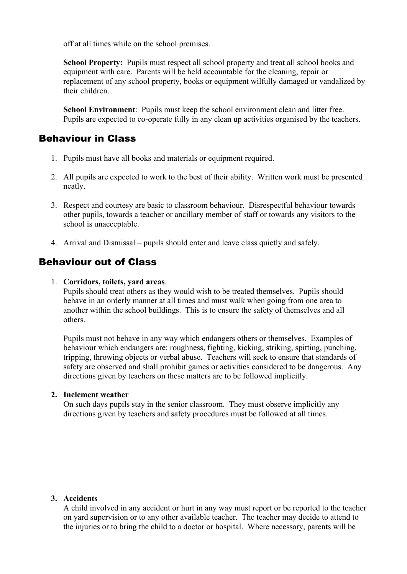off at all times while on the school premises.

**School Property:** Pupils must respect all school property and treat all school books and equipment with care. Parents will be held accountable for the cleaning, repair or replacement of any school property, books or equipment wilfully damaged or vandalized by their children.

**School Environment**: Pupils must keep the school environment clean and litter free. Pupils are expected to co-operate fully in any clean up activities organised by the teachers.

### Behaviour in Class

- 1. Pupils must have all books and materials or equipment required.
- 2. All pupils are expected to work to the best of their ability. Written work must be presented neatly.
- 3. Respect and courtesy are basic to classroom behaviour. Disrespectful behaviour towards other pupils, towards a teacher or ancillary member of staff or towards any visitors to the school is unacceptable.
- 4. Arrival and Dismissal pupils should enter and leave class quietly and safely.

### Behaviour out of Class

#### 1. **Corridors, toilets, yard areas**.

Pupils should treat others as they would wish to be treated themselves. Pupils should behave in an orderly manner at all times and must walk when going from one area to another within the school buildings. This is to ensure the safety of themselves and all others.

Pupils must not behave in any way which endangers others or themselves. Examples of behaviour which endangers are: roughness, fighting, kicking, striking, spitting, punching, tripping, throwing objects or verbal abuse. Teachers will seek to ensure that standards of safety are observed and shall prohibit games or activities considered to be dangerous. Any directions given by teachers on these matters are to be followed implicitly.

#### **2. Inclement weather**

On such days pupils stay in the senior classroom. They must observe implicitly any directions given by teachers and safety procedures must be followed at all times.

#### **3. Accidents**

A child involved in any accident or hurt in any way must report or be reported to the teacher on yard supervision or to any other available teacher. The teacher may decide to attend to the injuries or to bring the child to a doctor or hospital. Where necessary, parents will be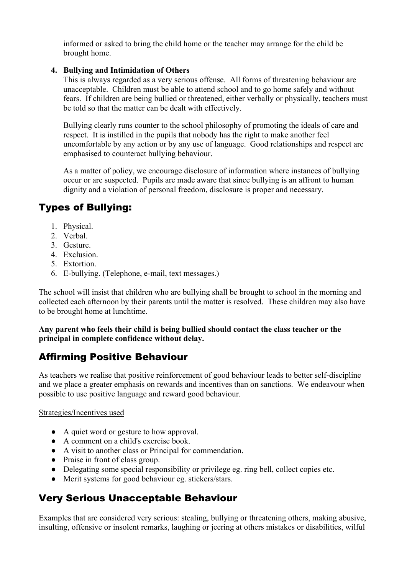informed or asked to bring the child home or the teacher may arrange for the child be brought home.

### **4. Bullying and Intimidation of Others**

This is always regarded as a very serious offense. All forms of threatening behaviour are unacceptable. Children must be able to attend school and to go home safely and without fears. If children are being bullied or threatened, either verbally or physically, teachers must be told so that the matter can be dealt with effectively.

Bullying clearly runs counter to the school philosophy of promoting the ideals of care and respect. It is instilled in the pupils that nobody has the right to make another feel uncomfortable by any action or by any use of language. Good relationships and respect are emphasised to counteract bullying behaviour.

As a matter of policy, we encourage disclosure of information where instances of bullying occur or are suspected. Pupils are made aware that since bullying is an affront to human dignity and a violation of personal freedom, disclosure is proper and necessary.

# Types of Bullying:

- 1. Physical.
- 2. Verbal.
- 3. Gesture.
- 4. Exclusion.
- 5. Extortion.
- 6. E-bullying. (Telephone, e-mail, text messages.)

The school will insist that children who are bullying shall be brought to school in the morning and collected each afternoon by their parents until the matter is resolved. These children may also have to be brought home at lunchtime.

### **Any parent who feels their child is being bullied should contact the class teacher or the principal in complete confidence without delay.**

# Affirming Positive Behaviour

As teachers we realise that positive reinforcement of good behaviour leads to better self-discipline and we place a greater emphasis on rewards and incentives than on sanctions. We endeavour when possible to use positive language and reward good behaviour.

### Strategies/Incentives used

- A quiet word or gesture to how approval.
- A comment on a child's exercise book.
- A visit to another class or Principal for commendation.
- Praise in front of class group.
- Delegating some special responsibility or privilege eg. ring bell, collect copies etc.
- Merit systems for good behaviour eg. stickers/stars.

# Very Serious Unacceptable Behaviour

Examples that are considered very serious: stealing, bullying or threatening others, making abusive, insulting, offensive or insolent remarks, laughing or jeering at others mistakes or disabilities, wilful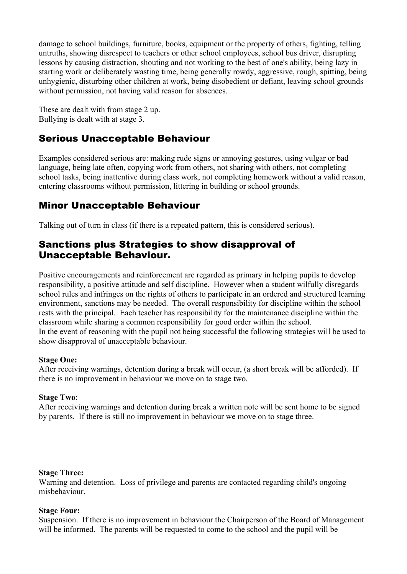damage to school buildings, furniture, books, equipment or the property of others, fighting, telling untruths, showing disrespect to teachers or other school employees, school bus driver, disrupting lessons by causing distraction, shouting and not working to the best of one's ability, being lazy in starting work or deliberately wasting time, being generally rowdy, aggressive, rough, spitting, being unhygienic, disturbing other children at work, being disobedient or defiant, leaving school grounds without permission, not having valid reason for absences.

These are dealt with from stage 2 up. Bullying is dealt with at stage 3.

# Serious Unacceptable Behaviour

Examples considered serious are: making rude signs or annoying gestures, using vulgar or bad language, being late often, copying work from others, not sharing with others, not completing school tasks, being inattentive during class work, not completing homework without a valid reason, entering classrooms without permission, littering in building or school grounds.

# Minor Unacceptable Behaviour

Talking out of turn in class (if there is a repeated pattern, this is considered serious).

### Sanctions plus Strategies to show disapproval of Unacceptable Behaviour.

Positive encouragements and reinforcement are regarded as primary in helping pupils to develop responsibility, a positive attitude and self discipline. However when a student wilfully disregards school rules and infringes on the rights of others to participate in an ordered and structured learning environment, sanctions may be needed. The overall responsibility for discipline within the school rests with the principal. Each teacher has responsibility for the maintenance discipline within the classroom while sharing a common responsibility for good order within the school. In the event of reasoning with the pupil not being successful the following strategies will be used to show disapproval of unacceptable behaviour.

### **Stage One:**

After receiving warnings, detention during a break will occur, (a short break will be afforded). If there is no improvement in behaviour we move on to stage two.

### **Stage Two**:

After receiving warnings and detention during break a written note will be sent home to be signed by parents. If there is still no improvement in behaviour we move on to stage three.

### **Stage Three:**

Warning and detention. Loss of privilege and parents are contacted regarding child's ongoing misbehaviour.

### **Stage Four:**

Suspension. If there is no improvement in behaviour the Chairperson of the Board of Management will be informed. The parents will be requested to come to the school and the pupil will be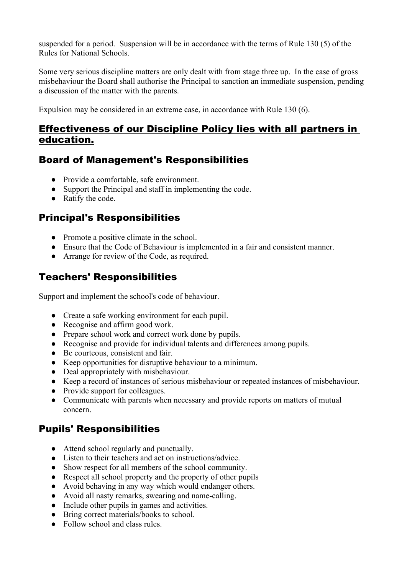suspended for a period. Suspension will be in accordance with the terms of Rule 130 (5) of the Rules for National Schools.

Some very serious discipline matters are only dealt with from stage three up. In the case of gross misbehaviour the Board shall authorise the Principal to sanction an immediate suspension, pending a discussion of the matter with the parents.

Expulsion may be considered in an extreme case, in accordance with Rule 130 (6).

### Effectiveness of our Discipline Policy lies with all partners in education.

# Board of Management's Responsibilities

- Provide a comfortable, safe environment.
- Support the Principal and staff in implementing the code.
- Ratify the code.

# Principal's Responsibilities

- Promote a positive climate in the school.
- Ensure that the Code of Behaviour is implemented in a fair and consistent manner.
- Arrange for review of the Code, as required.

# Teachers' Responsibilities

Support and implement the school's code of behaviour.

- Create a safe working environment for each pupil.
- Recognise and affirm good work.
- Prepare school work and correct work done by pupils.
- Recognise and provide for individual talents and differences among pupils.
- Be courteous, consistent and fair.
- Keep opportunities for disruptive behaviour to a minimum.
- Deal appropriately with misbehaviour.
- Keep a record of instances of serious misbehaviour or repeated instances of misbehaviour.
- Provide support for colleagues.
- Communicate with parents when necessary and provide reports on matters of mutual concern.

# Pupils' Responsibilities

- Attend school regularly and punctually.
- Listen to their teachers and act on instructions/advice.
- Show respect for all members of the school community.
- Respect all school property and the property of other pupils
- Avoid behaving in any way which would endanger others.
- Avoid all nasty remarks, swearing and name-calling.
- Include other pupils in games and activities.
- Bring correct materials/books to school.
- Follow school and class rules.